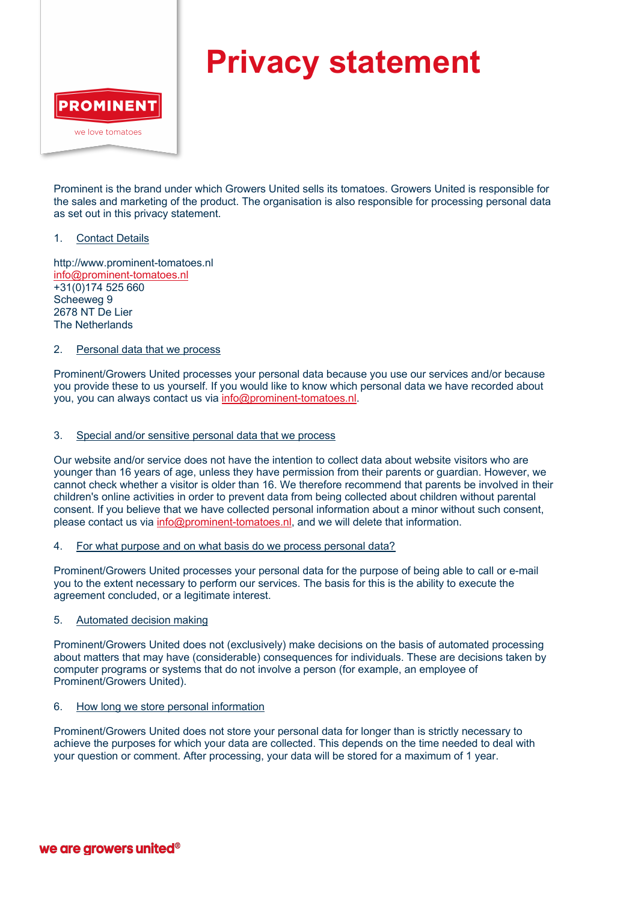

# **Privacy statement**

Prominent is the brand under which Growers United sells its tomatoes. Growers United is responsible for the sales and marketing of the product. The organisation is also responsible for processing personal data as set out in this privacy statement.

#### 1. Contact Details

http://www.prominent-tomatoes.nl info@prominent-tomatoes.nl +31(0)174 525 660 Scheeweg 9 2678 NT De Lier The Netherlands

### 2. Personal data that we process

Prominent/Growers United processes your personal data because you use our services and/or because you provide these to us yourself. If you would like to know which personal data we have recorded about you, you can always contact us via info@prominent-tomatoes.nl.

### 3. Special and/or sensitive personal data that we process

Our website and/or service does not have the intention to collect data about website visitors who are younger than 16 years of age, unless they have permission from their parents or guardian. However, we cannot check whether a visitor is older than 16. We therefore recommend that parents be involved in their children's online activities in order to prevent data from being collected about children without parental consent. If you believe that we have collected personal information about a minor without such consent, please contact us via info@prominent-tomatoes.nl, and we will delete that information.

#### 4. For what purpose and on what basis do we process personal data?

Prominent/Growers United processes your personal data for the purpose of being able to call or e-mail you to the extent necessary to perform our services. The basis for this is the ability to execute the agreement concluded, or a legitimate interest.

#### 5. Automated decision making

Prominent/Growers United does not (exclusively) make decisions on the basis of automated processing about matters that may have (considerable) consequences for individuals. These are decisions taken by computer programs or systems that do not involve a person (for example, an employee of Prominent/Growers United).

#### 6. How long we store personal information

Prominent/Growers United does not store your personal data for longer than is strictly necessary to achieve the purposes for which your data are collected. This depends on the time needed to deal with your question or comment. After processing, your data will be stored for a maximum of 1 year.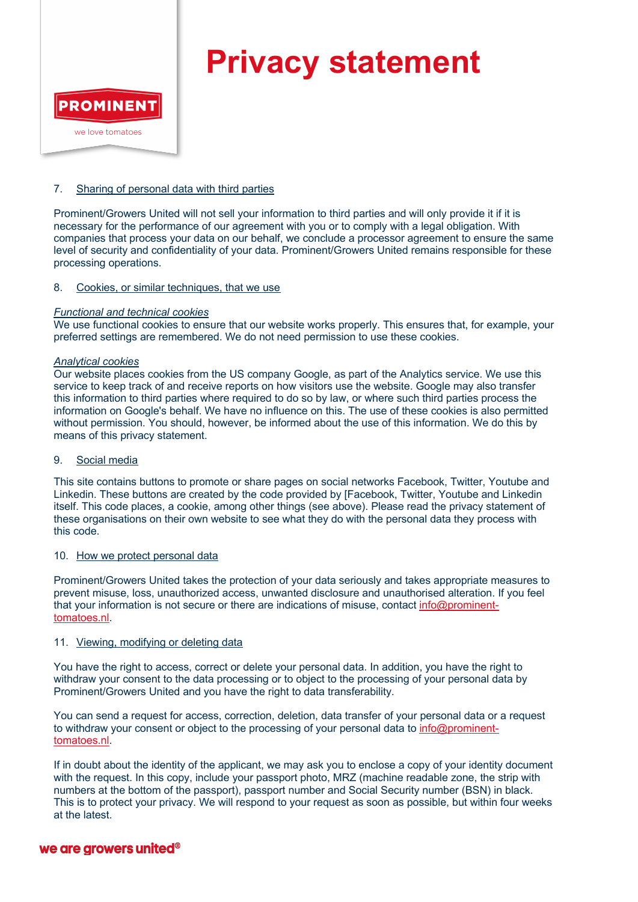

# **Privacy statement**

### 7. Sharing of personal data with third parties

Prominent/Growers United will not sell your information to third parties and will only provide it if it is necessary for the performance of our agreement with you or to comply with a legal obligation. With companies that process your data on our behalf, we conclude a processor agreement to ensure the same level of security and confidentiality of your data. Prominent/Growers United remains responsible for these processing operations.

#### 8. Cookies, or similar techniques, that we use

#### *Functional and technical cookies*

We use functional cookies to ensure that our website works properly. This ensures that, for example, your preferred settings are remembered. We do not need permission to use these cookies.

#### *Analytical cookies*

Our website places cookies from the US company Google, as part of the Analytics service. We use this service to keep track of and receive reports on how visitors use the website. Google may also transfer this information to third parties where required to do so by law, or where such third parties process the information on Google's behalf. We have no influence on this. The use of these cookies is also permitted without permission. You should, however, be informed about the use of this information. We do this by means of this privacy statement.

#### 9. Social media

This site contains buttons to promote or share pages on social networks Facebook, Twitter, Youtube and Linkedin. These buttons are created by the code provided by [Facebook, Twitter, Youtube and Linkedin itself. This code places, a cookie, among other things (see above). Please read the privacy statement of these organisations on their own website to see what they do with the personal data they process with this code.

#### 10. How we protect personal data

Prominent/Growers United takes the protection of your data seriously and takes appropriate measures to prevent misuse, loss, unauthorized access, unwanted disclosure and unauthorised alteration. If you feel that your information is not secure or there are indications of misuse, contact info@prominenttomatoes.nl.

## 11. Viewing, modifying or deleting data

You have the right to access, correct or delete your personal data. In addition, you have the right to withdraw your consent to the data processing or to object to the processing of your personal data by Prominent/Growers United and you have the right to data transferability.

You can send a request for access, correction, deletion, data transfer of your personal data or a request to withdraw your consent or object to the processing of your personal data to info@prominenttomatoes.nl.

If in doubt about the identity of the applicant, we may ask you to enclose a copy of your identity document with the request. In this copy, include your passport photo, MRZ (machine readable zone, the strip with numbers at the bottom of the passport), passport number and Social Security number (BSN) in black. This is to protect your privacy. We will respond to your request as soon as possible, but within four weeks at the latest.

# we are arowers united<sup>®</sup>